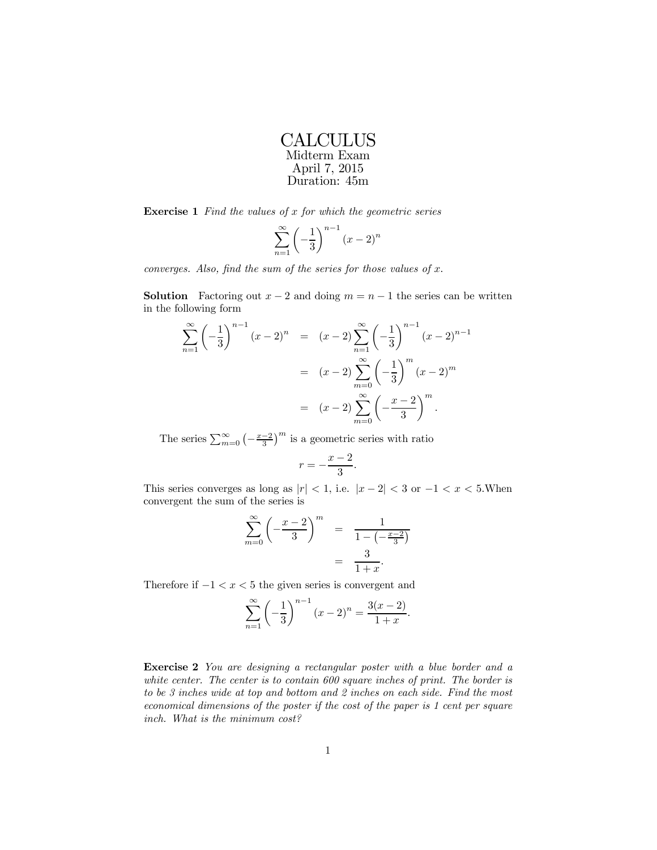| CALCULUS      |
|---------------|
| Midterm Exam  |
| April 7, 2015 |
| Duration: 45m |

**Exercise 1** Find the values of  $x$  for which the geometric series

$$
\sum_{n=1}^{\infty} \left(-\frac{1}{3}\right)^{n-1} \left(x-2\right)^n
$$

converges. Also, find the sum of the series for those values of  $x$ .

**Solution** Factoring out  $x - 2$  and doing  $m = n - 1$  the series can be written in the following form

$$
\sum_{n=1}^{\infty} \left( -\frac{1}{3} \right)^{n-1} (x-2)^n = (x-2) \sum_{n=1}^{\infty} \left( -\frac{1}{3} \right)^{n-1} (x-2)^{n-1}
$$

$$
= (x-2) \sum_{m=0}^{\infty} \left( -\frac{1}{3} \right)^m (x-2)^m
$$

$$
= (x-2) \sum_{m=0}^{\infty} \left( -\frac{x-2}{3} \right)^m.
$$

The series  $\sum_{m=0}^{\infty} \left(-\frac{x-2}{3}\right)^m$  is a geometric series with ratio

$$
r = -\frac{x-2}{3}.
$$

This series converges as long as  $|r| < 1$ , i.e.  $|x - 2| < 3$  or  $-1 < x < 5$ . When convergent the sum of the series is

$$
\sum_{m=0}^{\infty} \left( -\frac{x-2}{3} \right)^m = \frac{1}{1 - \left( -\frac{x-2}{3} \right)} = \frac{3}{1+x}.
$$

Therefore if  $-1 < x < 5$  the given series is convergent and

$$
\sum_{n=1}^{\infty} \left(-\frac{1}{3}\right)^{n-1} (x-2)^n = \frac{3(x-2)}{1+x}.
$$

Exercise 2 You are designing a rectangular poster with a blue border and a white center. The center is to contain  $600$  square inches of print. The border is to be 3 inches wide at top and bottom and 2 inches on each side. Find the most economical dimensions of the poster if the cost of the paper is 1 cent per square inch. What is the minimum cost?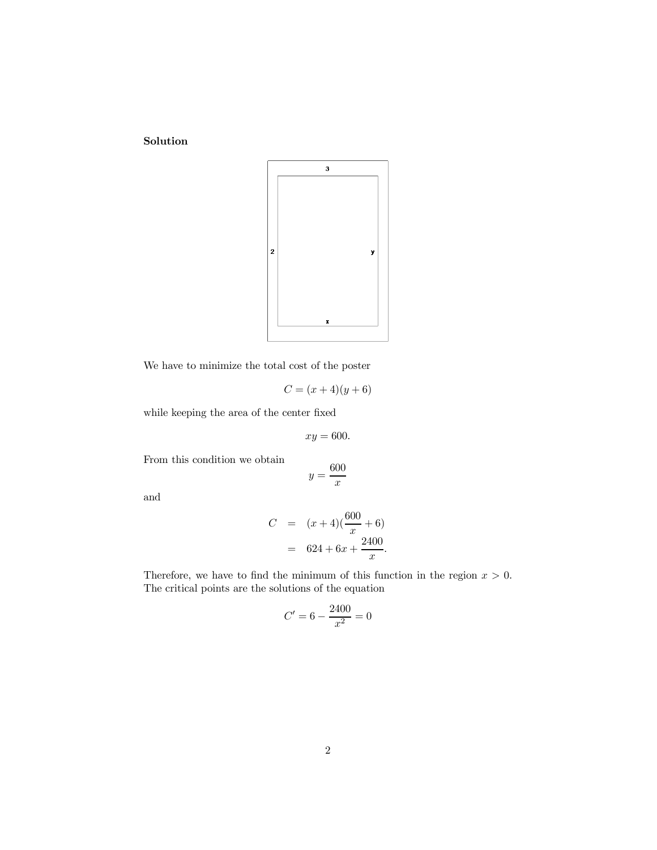Solution



We have to minimize the total cost of the poster

$$
C = (x+4)(y+6)
$$

while keeping the area of the center fixed

$$
xy = 600.
$$

From this condition we obtain

$$
y = \frac{600}{x}
$$

and

$$
C = (x+4)(\frac{600}{x} + 6)
$$
  
= 624 + 6x +  $\frac{2400}{x}$ .

Therefore, we have to find the minimum of this function in the region  $x > 0$ . The critical points are the solutions of the equation

$$
C' = 6 - \frac{2400}{x^2} = 0
$$